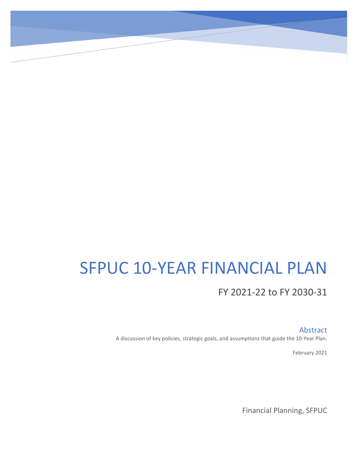# SFPUC 10-YEAR FINANCIAL PLAN

# FY 2021-22 to FY 2030-31

Abstract

A discussion of key policies, strategic goals, and assumptions that guide the 10-Year Plan.

February 2021

Financial Planning, SFPUC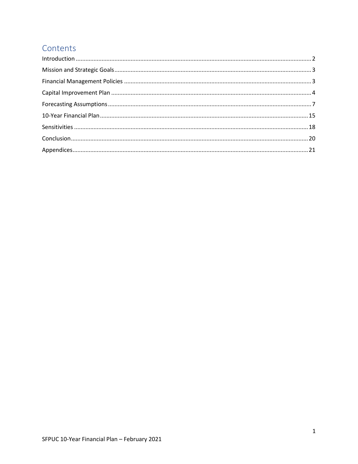# Contents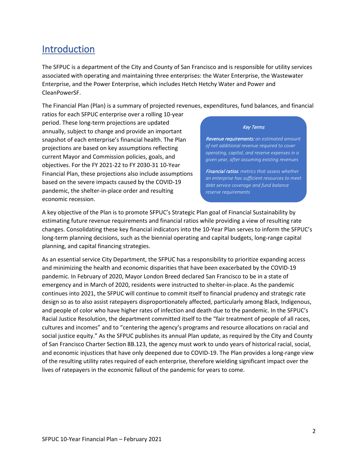# <span id="page-2-0"></span>Introduction

The SFPUC is a department of the City and County of San Francisco and is responsible for utility services associated with operating and maintaining three enterprises: the Water Enterprise, the Wastewater Enterprise, and the Power Enterprise, which includes Hetch Hetchy Water and Power and CleanPowerSF.

The Financial Plan (Plan) is a summary of projected revenues, expenditures, fund balances, and financial

ratios for each SFPUC enterprise over a rolling 10-year period. These long-term projections are updated annually, subject to change and provide an important snapshot of each enterprise's financial health. The Plan projections are based on key assumptions reflecting current Mayor and Commission policies, goals, and objectives. For the FY 2021-22 to FY 2030-31 10-Year Financial Plan, these projections also include assumptions based on the severe impacts caused by the COVID-19 pandemic, the shelter-in-place order and resulting economic recession.

#### Key Terms

Revenue requirements: *an estimated amount of net additional revenue required to cover operating, capital, and reserve expenses in a given year, after assuming existing revenues* 

Financial ratios*: metrics that assess whether an enterprise has sufficient resources to meet debt service coverage and fund balance reserve requirements*

A key objective of the Plan is to promote SFPUC's Strategic Plan goal of Financial Sustainability by estimating future revenue requirements and financial ratios while providing a view of resulting rate changes. Consolidating these key financial indicators into the 10-Year Plan serves to inform the SFPUC's long-term planning decisions, such as the biennial operating and capital budgets, long-range capital planning, and capital financing strategies.

As an essential service City Department, the SFPUC has a responsibility to prioritize expanding access and minimizing the health and economic disparities that have been exacerbated by the COVID-19 pandemic. In February of 2020, Mayor London Breed declared San Francisco to be in a state of emergency and in March of 2020, residents were instructed to shelter-in-place. As the pandemic continues into 2021, the SFPUC will continue to commit itself to financial prudency and strategic rate design so as to also assist ratepayers disproportionately affected, particularly among Black, Indigenous, and people of color who have higher rates of infection and death due to the pandemic. In the SFPUC's Racial Justice Resolution, the department committed itself to the "fair treatment of people of all races, cultures and incomes" and to "centering the agency's programs and resource allocations on racial and social justice equity." As the SFPUC publishes its annual Plan update, as required by the City and County of San Francisco Charter Section 8B.123, the agency must work to undo years of historical racial, social, and economic injustices that have only deepened due to COVID-19. The Plan provides a long-range view of the resulting utility rates required of each enterprise, therefore wielding significant impact over the lives of ratepayers in the economic fallout of the pandemic for years to come.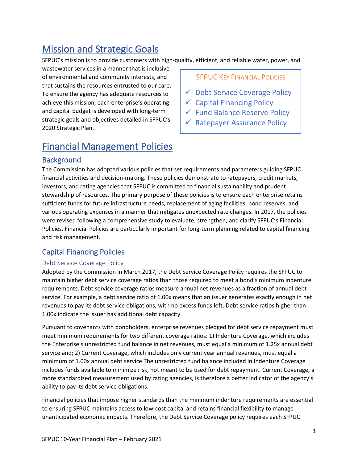# <span id="page-3-0"></span>Mission and Strategic Goals

SFPUC's mission is to provide customers with high-quality, efficient, and reliable water, power, and

wastewater services in a manner that is inclusive of environmental and community interests, and that sustains the resources entrusted to our care. To ensure the agency has adequate resources to achieve this mission, each enterprise's operating and capital budget is developed with long-term strategic goals and objectives detailed in SFPUC's 2020 Strategic Plan.

## **SFPUC KEY FINANCIAL POLICIES**

- $\checkmark$  Debt Service Coverage Policy
- $\checkmark$  Capital Financing Policy
- Fund Balance Reserve Policy
- $\checkmark$  Ratepayer Assurance Policy

# <span id="page-3-1"></span>Financial Management Policies

# **Background**

The Commission has adopted various policies that set requirements and parameters guiding SFPUC financial activities and decision-making. These policies demonstrate to ratepayers, credit markets, investors, and rating agencies that SFPUC is committed to financial sustainability and prudent stewardship of resources. The primary purpose of these policies is to ensure each enterprise retains sufficient funds for future infrastructure needs, replacement of aging facilities, bond reserves, and various operating expenses in a manner that mitigates unexpected rate changes. In 2017, the policies were revised following a comprehensive study to evaluate, strengthen, and clarify SFPUC's Financial Policies. Financial Policies are particularly important for long-term planning related to capital financing and risk management.

## Capital Financing Policies

## Debt Service Coverage Policy

Adopted by the Commission in March 2017, the Debt Service Coverage Policy requires the SFPUC to maintain higher debt service coverage ratios than those required to meet a bond's minimum indenture requirements. Debt service coverage ratios measure annual net revenues as a fraction of annual debt service. For example, a debt service ratio of 1.00x means that an issuer generates exactly enough in net revenues to pay its debt service obligations, with no excess funds left. Debt service ratios higher than 1.00x indicate the issuer has additional debt capacity.

Pursuant to covenants with bondholders, enterprise revenues pledged for debt service repayment must meet minimum requirements for two different coverage ratios: 1) Indenture Coverage, which includes the Enterprise's unrestricted fund balance in net revenues, must equal a minimum of 1.25x annual debt service and; 2) Current Coverage, which includes only current year annual revenues, must equal a minimum of 1.00x annual debt service The unrestricted fund balance included in Indenture Coverage includes funds available to minimize risk, not meant to be used for debt repayment. Current Coverage, a more standardized measurement used by rating agencies, is therefore a better indicator of the agency's ability to pay its debt service obligations.

Financial policies that impose higher standards than the minimum indenture requirements are essential to ensuring SFPUC maintains access to low-cost capital and retains financial flexibility to manage unanticipated economic impacts. Therefore, the Debt Service Coverage policy requires each SFPUC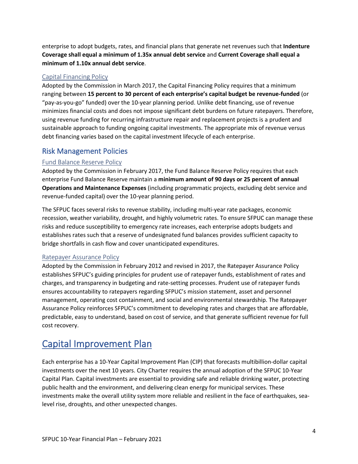enterprise to adopt budgets, rates, and financial plans that generate net revenues such that **Indenture Coverage shall equal a minimum of 1.35x annual debt service** and **Current Coverage shall equal a minimum of 1.10x annual debt service**.

#### Capital Financing Policy

Adopted by the Commission in March 2017, the Capital Financing Policy requires that a minimum ranging between **15 percent to 30 percent of each enterprise's capital budget be revenue-funded** (or "pay-as-you-go" funded) over the 10-year planning period. Unlike debt financing, use of revenue minimizes financial costs and does not impose significant debt burdens on future ratepayers. Therefore, using revenue funding for recurring infrastructure repair and replacement projects is a prudent and sustainable approach to funding ongoing capital investments. The appropriate mix of revenue versus debt financing varies based on the capital investment lifecycle of each enterprise.

## Risk Management Policies

#### Fund Balance Reserve Policy

Adopted by the Commission in February 2017, the Fund Balance Reserve Policy requires that each enterprise Fund Balance Reserve maintain a **minimum amount of 90 days or 25 percent of annual Operations and Maintenance Expenses** (including programmatic projects, excluding debt service and revenue-funded capital) over the 10-year planning period.

The SFPUC faces several risks to revenue stability, including multi-year rate packages, economic recession, weather variability, drought, and highly volumetric rates. To ensure SFPUC can manage these risks and reduce susceptibility to emergency rate increases, each enterprise adopts budgets and establishes rates such that a reserve of undesignated fund balances provides sufficient capacity to bridge shortfalls in cash flow and cover unanticipated expenditures.

#### Ratepayer Assurance Policy

Adopted by the Commission in February 2012 and revised in 2017, the Ratepayer Assurance Policy establishes SFPUC's guiding principles for prudent use of ratepayer funds, establishment of rates and charges, and transparency in budgeting and rate-setting processes. Prudent use of ratepayer funds ensures accountability to ratepayers regarding SFPUC's mission statement, asset and personnel management, operating cost containment, and social and environmental stewardship. The Ratepayer Assurance Policy reinforces SFPUC's commitment to developing rates and charges that are affordable, predictable, easy to understand, based on cost of service, and that generate sufficient revenue for full cost recovery.

# <span id="page-4-0"></span>Capital Improvement Plan

Each enterprise has a 10-Year Capital Improvement Plan (CIP) that forecasts multibillion-dollar capital investments over the next 10 years. City Charter requires the annual adoption of the SFPUC 10-Year Capital Plan. Capital investments are essential to providing safe and reliable drinking water, protecting public health and the environment, and delivering clean energy for municipal services. These investments make the overall utility system more reliable and resilient in the face of earthquakes, sealevel rise, droughts, and other unexpected changes.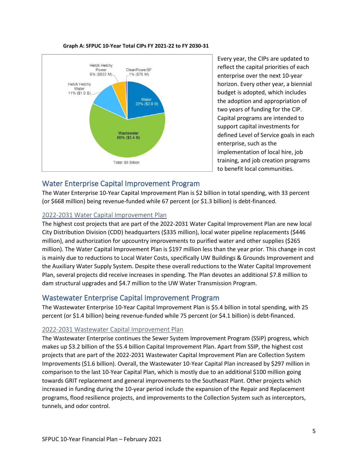

#### **Graph A: SFPUC 10-Year Total CIPs FY 2021-22 to FY 2030-31**

Every year, the CIPs are updated to reflect the capital priorities of each enterprise over the next 10-year horizon. Every other year, a biennial budget is adopted, which includes the adoption and appropriation of two years of funding for the CIP. Capital programs are intended to support capital investments for defined Level of Service goals in each enterprise, such as the implementation of local hire, job training, and job creation programs to benefit local communities.

## Water Enterprise Capital Improvement Program

The Water Enterprise 10-Year Capital Improvement Plan is \$2 billion in total spending, with 33 percent (or \$668 million) being revenue-funded while 67 percent (or \$1.3 billion) is debt-financed.

#### 2022-2031 Water Capital Improvement Plan

The highest cost projects that are part of the 2022-2031 Water Capital Improvement Plan are new local City Distribution Division (CDD) headquarters (\$335 million), local water pipeline replacements (\$446 million), and authorization for upcountry improvements to purified water and other supplies (\$265 million). The Water Capital Improvement Plan is \$197 million less than the year prior. This change in cost is mainly due to reductions to Local Water Costs, specifically UW Buildings & Grounds Improvement and the Auxiliary Water Supply System. Despite these overall reductions to the Water Capital Improvement Plan, several projects did receive increases in spending. The Plan devotes an additional \$7.8 million to dam structural upgrades and \$4.7 million to the UW Water Transmission Program.

## Wastewater Enterprise Capital Improvement Program

The Wastewater Enterprise 10-Year Capital Improvement Plan is \$5.4 billion in total spending, with 25 percent (or \$1.4 billion) being revenue-funded while 75 percent (or \$4.1 billion) is debt-financed.

#### 2022-2031 Wastewater Capital Improvement Plan

The Wastewater Enterprise continues the Sewer System Improvement Program (SSIP) progress, which makes up \$3.2 billion of the \$5.4 billion Capital Improvement Plan. Apart from SSIP, the highest cost projects that are part of the 2022-2031 Wastewater Capital Improvement Plan are Collection System Improvements (\$1.6 billion). Overall, the Wastewater 10-Year Capital Plan increased by \$297 million in comparison to the last 10-Year Capital Plan, which is mostly due to an additional \$100 million going towards GRIT replacement and general improvements to the Southeast Plant. Other projects which increased in funding during the 10-year period include the expansion of the Repair and Replacement programs, flood resilience projects, and improvements to the Collection System such as interceptors, tunnels, and odor control.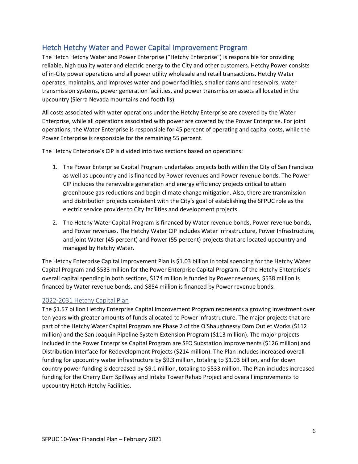## Hetch Hetchy Water and Power Capital Improvement Program

The Hetch Hetchy Water and Power Enterprise ("Hetchy Enterprise") is responsible for providing reliable, high quality water and electric energy to the City and other customers. Hetchy Power consists of in-City power operations and all power utility wholesale and retail transactions. Hetchy Water operates, maintains, and improves water and power facilities, smaller dams and reservoirs, water transmission systems, power generation facilities, and power transmission assets all located in the upcountry (Sierra Nevada mountains and foothills).

All costs associated with water operations under the Hetchy Enterprise are covered by the Water Enterprise, while all operations associated with power are covered by the Power Enterprise. For joint operations, the Water Enterprise is responsible for 45 percent of operating and capital costs, while the Power Enterprise is responsible for the remaining 55 percent.

The Hetchy Enterprise's CIP is divided into two sections based on operations:

- 1. The Power Enterprise Capital Program undertakes projects both within the City of San Francisco as well as upcountry and is financed by Power revenues and Power revenue bonds. The Power CIP includes the renewable generation and energy efficiency projects critical to attain greenhouse gas reductions and begin climate change mitigation. Also, there are transmission and distribution projects consistent with the City's goal of establishing the SFPUC role as the electric service provider to City facilities and development projects.
- 2. The Hetchy Water Capital Program is financed by Water revenue bonds, Power revenue bonds, and Power revenues. The Hetchy Water CIP includes Water Infrastructure, Power Infrastructure, and joint Water (45 percent) and Power (55 percent) projects that are located upcountry and managed by Hetchy Water.

The Hetchy Enterprise Capital Improvement Plan is \$1.03 billion in total spending for the Hetchy Water Capital Program and \$533 million for the Power Enterprise Capital Program. Of the Hetchy Enterprise's overall capital spending in both sections, \$174 million is funded by Power revenues, \$538 million is financed by Water revenue bonds, and \$854 million is financed by Power revenue bonds.

#### 2022-2031 Hetchy Capital Plan

The \$1.57 billion Hetchy Enterprise Capital Improvement Program represents a growing investment over ten years with greater amounts of funds allocated to Power infrastructure. The major projects that are part of the Hetchy Water Capital Program are Phase 2 of the O'Shaughnessy Dam Outlet Works (\$112 million) and the San Joaquin Pipeline System Extension Program (\$113 million). The major projects included in the Power Enterprise Capital Program are SFO Substation Improvements (\$126 million) and Distribution Interface for Redevelopment Projects (\$214 million). The Plan includes increased overall funding for upcountry water infrastructure by \$9.3 million, totaling to \$1.03 billion, and for down country power funding is decreased by \$9.1 million, totaling to \$533 million. The Plan includes increased funding for the Cherry Dam Spillway and Intake Tower Rehab Project and overall improvements to upcountry Hetch Hetchy Facilities.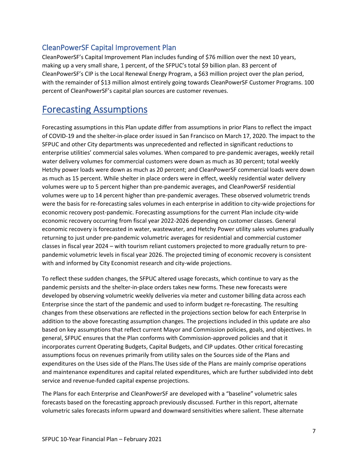## CleanPowerSF Capital Improvement Plan

CleanPowerSF's Capital Improvement Plan includes funding of \$76 million over the next 10 years, making up a very small share, 1 percent, of the SFPUC's total \$9 billion plan. 83 percent of CleanPowerSF's CIP is the Local Renewal Energy Program, a \$63 million project over the plan period, with the remainder of \$13 million almost entirely going towards CleanPowerSF Customer Programs. 100 percent of CleanPowerSF's capital plan sources are customer revenues.

# <span id="page-7-0"></span>Forecasting Assumptions

Forecasting assumptions in this Plan update differ from assumptions in prior Plans to reflect the impact of COVID-19 and the shelter-in-place order issued in San Francisco on March 17, 2020. The impact to the SFPUC and other City departments was unprecedented and reflected in significant reductions to enterprise utilities' commercial sales volumes. When compared to pre-pandemic averages, weekly retail water delivery volumes for commercial customers were down as much as 30 percent; total weekly Hetchy power loads were down as much as 20 percent; and CleanPowerSF commercial loads were down as much as 15 percent. While shelter in place orders were in effect, weekly residential water delivery volumes were up to 5 percent higher than pre-pandemic averages, and CleanPowerSF residential volumes were up to 14 percent higher than pre-pandemic averages. These observed volumetric trends were the basis for re-forecasting sales volumes in each enterprise in addition to city-wide projections for economic recovery post-pandemic. Forecasting assumptions for the current Plan include city-wide economic recovery occurring from fiscal year 2022-2026 depending on customer classes. General economic recovery is forecasted in water, wastewater, and Hetchy Power utility sales volumes gradually returning to just under pre-pandemic volumetric averages for residential and commercial customer classes in fiscal year 2024 – with tourism reliant customers projected to more gradually return to prepandemic volumetric levels in fiscal year 2026. The projected timing of economic recovery is consistent with and informed by City Economist research and city-wide projections.

To reflect these sudden changes, the SFPUC altered usage forecasts, which continue to vary as the pandemic persists and the shelter-in-place orders takes new forms. These new forecasts were developed by observing volumetric weekly deliveries via meter and customer billing data across each Enterprise since the start of the pandemic and used to inform budget re-forecasting. The resulting changes from these observations are reflected in the projections section below for each Enterprise In addition to the above forecasting assumption changes. The projections included in this update are also based on key assumptions that reflect current Mayor and Commission policies, goals, and objectives. In general, SFPUC ensures that the Plan conforms with Commission-approved policies and that it incorporates current Operating Budgets, Capital Budgets, and CIP updates. Other critical forecasting assumptions focus on revenues primarily from utility sales on the Sources side of the Plans and expenditures on the Uses side of the Plans.The Uses side of the Plans are mainly comprise operations and maintenance expenditures and capital related expenditures, which are further subdivided into debt service and revenue-funded capital expense projections.

The Plans for each Enterprise and CleanPowerSF are developed with a "baseline" volumetric sales forecasts based on the forecasting approach previously discussed. Further in this report, alternate volumetric sales forecasts inform upward and downward sensitivities where salient. These alternate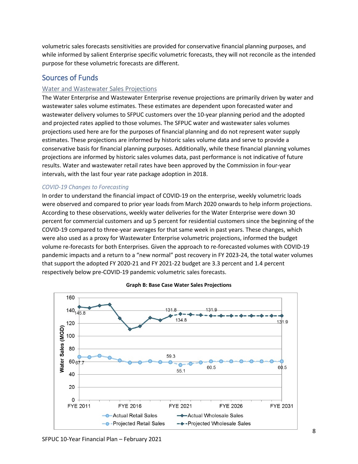volumetric sales forecasts sensitivities are provided for conservative financial planning purposes, and while informed by salient Enterprise specific volumetric forecasts, they will not reconcile as the intended purpose for these volumetric forecasts are different.

## Sources of Funds

#### Water and Wastewater Sales Projections

The Water Enterprise and Wastewater Enterprise revenue projections are primarily driven by water and wastewater sales volume estimates. These estimates are dependent upon forecasted water and wastewater delivery volumes to SFPUC customers over the 10-year planning period and the adopted and projected rates applied to those volumes. The SFPUC water and wastewater sales volumes projections used here are for the purposes of financial planning and do not represent water supply estimates. These projections are informed by historic sales volume data and serve to provide a conservative basis for financial planning purposes. Additionally, while these financial planning volumes projections are informed by historic sales volumes data, past performance is not indicative of future results. Water and wastewater retail rates have been approved by the Commission in four-year intervals, with the last four year rate package adoption in 2018.

#### *COVID-19 Changes to Forecasting*

In order to understand the financial impact of COVID-19 on the enterprise, weekly volumetric loads were observed and compared to prior year loads from March 2020 onwards to help inform projections. According to these observations, weekly water deliveries for the Water Enterprise were down 30 percent for commercial customers and up 5 percent for residential customers since the beginning of the COVID-19 compared to three-year averages for that same week in past years. These changes, which were also used as a proxy for Wastewater Enterprise volumetric projections, informed the budget volume re-forecasts for both Enterprises. Given the approach to re-forecasted volumes with COVID-19 pandemic impacts and a return to a "new normal" post recovery in FY 2023-24, the total water volumes that support the adopted FY 2020-21 and FY 2021-22 budget are 3.3 percent and 1.4 percent respectively below pre-COVID-19 pandemic volumetric sales forecasts.



#### **Graph B: Base Case Water Sales Projections**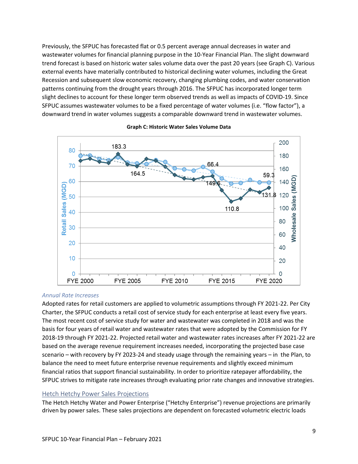Previously, the SFPUC has forecasted flat or 0.5 percent average annual decreases in water and wastewater volumes for financial planning purpose in the 10-Year Financial Plan. The slight downward trend forecast is based on historic water sales volume data over the past 20 years (see Graph C). Various external events have materially contributed to historical declining water volumes, including the Great Recession and subsequent slow economic recovery, changing plumbing codes, and water conservation patterns continuing from the drought years through 2016. The SFPUC has incorporated longer term slight declines to account for these longer term observed trends as well as impacts of COVID-19. Since SFPUC assumes wastewater volumes to be a fixed percentage of water volumes (i.e. "flow factor"), a downward trend in water volumes suggests a comparable downward trend in wastewater volumes.



#### **Graph C: Historic Water Sales Volume Data**

#### *Annual Rate Increases*

Adopted rates for retail customers are applied to volumetric assumptions through FY 2021-22. Per City Charter, the SFPUC conducts a retail cost of service study for each enterprise at least every five years. The most recent cost of service study for water and wastewater was completed in 2018 and was the basis for four years of retail water and wastewater rates that were adopted by the Commission for FY 2018-19 through FY 2021-22. Projected retail water and wastewater rates increases after FY 2021-22 are based on the average revenue requirement increases needed, incorporating the projected base case scenario – with recovery by FY 2023-24 and steady usage through the remaining years – in the Plan, to balance the need to meet future enterprise revenue requirements and slightly exceed minimum financial ratios that support financial sustainability. In order to prioritize ratepayer affordability, the SFPUC strives to mitigate rate increases through evaluating prior rate changes and innovative strategies.

#### Hetch Hetchy Power Sales Projections

The Hetch Hetchy Water and Power Enterprise ("Hetchy Enterprise") revenue projections are primarily driven by power sales. These sales projections are dependent on forecasted volumetric electric loads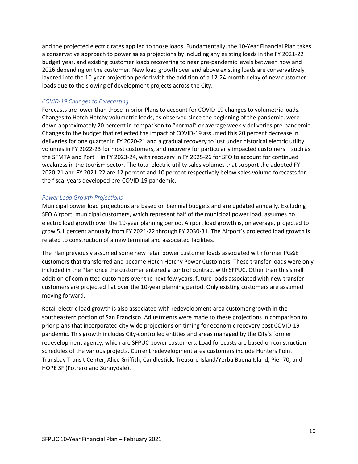and the projected electric rates applied to those loads. Fundamentally, the 10-Year Financial Plan takes a conservative approach to power sales projections by including any existing loads in the FY 2021-22 budget year, and existing customer loads recovering to near pre-pandemic levels between now and 2026 depending on the customer. New load growth over and above existing loads are conservatively layered into the 10-year projection period with the addition of a 12-24 month delay of new customer loads due to the slowing of development projects across the City.

#### *COVID-19 Changes to Forecasting*

Forecasts are lower than those in prior Plans to account for COVID-19 changes to volumetric loads. Changes to Hetch Hetchy volumetric loads, as observed since the beginning of the pandemic, were down approximately 20 percent in comparison to "normal" or average weekly deliveries pre-pandemic. Changes to the budget that reflected the impact of COVID-19 assumed this 20 percent decrease in deliveries for one quarter in FY 2020-21 and a gradual recovery to just under historical electric utility volumes in FY 2022-23 for most customers, and recovery for particularly impacted customers – such as the SFMTA and Port – in FY 2023-24, with recovery in FY 2025-26 for SFO to account for continued weakness in the tourism sector. The total electric utility sales volumes that support the adopted FY 2020-21 and FY 2021-22 are 12 percent and 10 percent respectively below sales volume forecasts for the fiscal years developed pre-COVID-19 pandemic.

#### *Power Load Growth Projections*

Municipal power load projections are based on biennial budgets and are updated annually. Excluding SFO Airport, municipal customers, which represent half of the municipal power load, assumes no electric load growth over the 10-year planning period. Airport load growth is, on average, projected to grow 5.1 percent annually from FY 2021-22 through FY 2030-31. The Airport's projected load growth is related to construction of a new terminal and associated facilities.

The Plan previously assumed some new retail power customer loads associated with former PG&E customers that transferred and became Hetch Hetchy Power Customers. These transfer loads were only included in the Plan once the customer entered a control contract with SFPUC. Other than this small addition of committed customers over the next few years, future loads associated with new transfer customers are projected flat over the 10-year planning period. Only existing customers are assumed moving forward.

Retail electric load growth is also associated with redevelopment area customer growth in the southeastern portion of San Francisco. Adjustments were made to these projections in comparison to prior plans that incorporated city wide projections on timing for economic recovery post COVID-19 pandemic. This growth includes City-controlled entities and areas managed by the City's former redevelopment agency, which are SFPUC power customers. Load forecasts are based on construction schedules of the various projects. Current redevelopment area customers include Hunters Point, Transbay Transit Center, Alice Griffith, Candlestick, Treasure Island/Yerba Buena Island, Pier 70, and HOPE SF (Potrero and Sunnydale).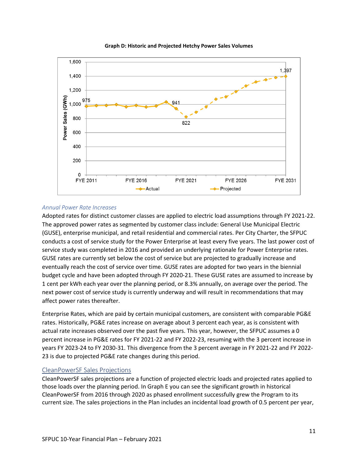

#### **Graph D: Historic and Projected Hetchy Power Sales Volumes**

#### *Annual Power Rate Increases*

Adopted rates for distinct customer classes are applied to electric load assumptions through FY 2021-22. The approved power rates as segmented by customer class include: General Use Municipal Electric (GUSE), enterprise municipal, and retail residential and commercial rates. Per City Charter, the SFPUC conducts a cost of service study for the Power Enterprise at least every five years. The last power cost of service study was completed in 2016 and provided an underlying rationale for Power Enterprise rates. GUSE rates are currently set below the cost of service but are projected to gradually increase and eventually reach the cost of service over time. GUSE rates are adopted for two years in the biennial budget cycle and have been adopted through FY 2020-21. These GUSE rates are assumed to increase by 1 cent per kWh each year over the planning period, or 8.3% annually, on average over the period. The next power cost of service study is currently underway and will result in recommendations that may affect power rates thereafter.

Enterprise Rates, which are paid by certain municipal customers, are consistent with comparable PG&E rates. Historically, PG&E rates increase on average about 3 percent each year, as is consistent with actual rate increases observed over the past five years. This year, however, the SFPUC assumes a 0 percent increase in PG&E rates for FY 2021-22 and FY 2022-23, resuming with the 3 percent increase in years FY 2023-24 to FY 2030-31. This divergence from the 3 percent average in FY 2021-22 and FY 2022- 23 is due to projected PG&E rate changes during this period.

#### CleanPowerSF Sales Projections

CleanPowerSF sales projections are a function of projected electric loads and projected rates applied to those loads over the planning period. In Graph E you can see the significant growth in historical CleanPowerSF from 2016 through 2020 as phased enrollment successfully grew the Program to its current size. The sales projections in the Plan includes an incidental load growth of 0.5 percent per year,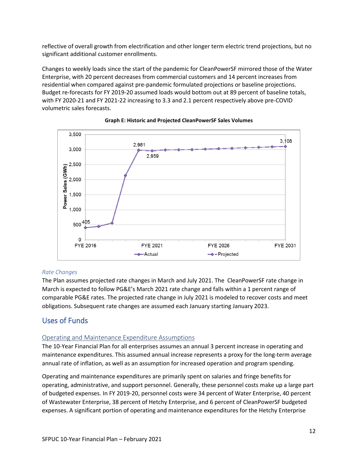reflective of overall growth from electrification and other longer term electric trend projections, but no significant additional customer enrollments.

Changes to weekly loads since the start of the pandemic for CleanPowerSF mirrored those of the Water Enterprise, with 20 percent decreases from commercial customers and 14 percent increases from residential when compared against pre-pandemic formulated projections or baseline projections. Budget re-forecasts for FY 2019-20 assumed loads would bottom out at 89 percent of baseline totals, with FY 2020-21 and FY 2021-22 increasing to 3.3 and 2.1 percent respectively above pre-COVID volumetric sales forecasts.





#### *Rate Changes*

The Plan assumes projected rate changes in March and July 2021. The CleanPowerSF rate change in March is expected to follow PG&E's March 2021 rate change and falls within a 1 percent range of comparable PG&E rates. The projected rate change in July 2021 is modeled to recover costs and meet obligations. Subsequent rate changes are assumed each January starting January 2023.

## Uses of Funds

#### Operating and Maintenance Expenditure Assumptions

The 10-Year Financial Plan for all enterprises assumes an annual 3 percent increase in operating and maintenance expenditures. This assumed annual increase represents a proxy for the long-term average annual rate of inflation, as well as an assumption for increased operation and program spending.

Operating and maintenance expenditures are primarily spent on salaries and fringe benefits for operating, administrative, and support personnel. Generally, these personnel costs make up a large part of budgeted expenses. In FY 2019-20, personnel costs were 34 percent of Water Enterprise, 40 percent of Wastewater Enterprise, 38 percent of Hetchy Enterprise, and 6 percent of CleanPowerSF budgeted expenses. A significant portion of operating and maintenance expenditures for the Hetchy Enterprise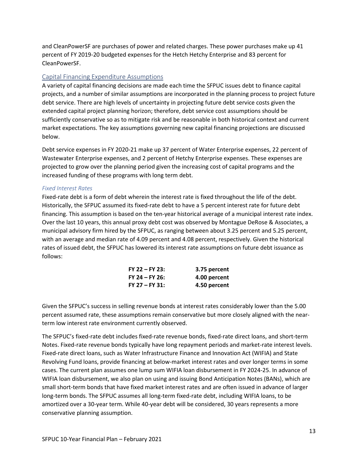and CleanPowerSF are purchases of power and related charges. These power purchases make up 41 percent of FY 2019-20 budgeted expenses for the Hetch Hetchy Enterprise and 83 percent for CleanPowerSF.

#### Capital Financing Expenditure Assumptions

A variety of capital financing decisions are made each time the SFPUC issues debt to finance capital projects, and a number of similar assumptions are incorporated in the planning process to project future debt service. There are high levels of uncertainty in projecting future debt service costs given the extended capital project planning horizon; therefore, debt service cost assumptions should be sufficiently conservative so as to mitigate risk and be reasonable in both historical context and current market expectations. The key assumptions governing new capital financing projections are discussed below.

Debt service expenses in FY 2020-21 make up 37 percent of Water Enterprise expenses, 22 percent of Wastewater Enterprise expenses, and 2 percent of Hetchy Enterprise expenses. These expenses are projected to grow over the planning period given the increasing cost of capital programs and the increased funding of these programs with long term debt.

#### *Fixed Interest Rates*

Fixed-rate debt is a form of debt wherein the interest rate is fixed throughout the life of the debt. Historically, the SFPUC assumed its fixed-rate debt to have a 5 percent interest rate for future debt financing. This assumption is based on the ten-year historical average of a municipal interest rate index. Over the last 10 years, this annual proxy debt cost was observed by Montague DeRose & Associates, a municipal advisory firm hired by the SFPUC, as ranging between about 3.25 percent and 5.25 percent, with an average and median rate of 4.09 percent and 4.08 percent, respectively. Given the historical rates of issued debt, the SFPUC has lowered its interest rate assumptions on future debt issuance as follows:

| $FY$ 22 – FY 23:   | 3.75 percent |
|--------------------|--------------|
| $FY$ 24 – $FY$ 26: | 4.00 percent |
| $FY$ 27 – $FY$ 31: | 4.50 percent |

Given the SFPUC's success in selling revenue bonds at interest rates considerably lower than the 5.00 percent assumed rate, these assumptions remain conservative but more closely aligned with the nearterm low interest rate environment currently observed.

The SFPUC's fixed-rate debt includes fixed-rate revenue bonds, fixed-rate direct loans, and short-term Notes. Fixed-rate revenue bonds typically have long repayment periods and market-rate interest levels. Fixed-rate direct loans, such as Water Infrastructure Finance and Innovation Act (WIFIA) and State Revolving Fund loans, provide financing at below-market interest rates and over longer terms in some cases. The current plan assumes one lump sum WIFIA loan disbursement in FY 2024-25. In advance of WIFIA loan disbursement, we also plan on using and issuing Bond Anticipation Notes (BANs), which are small short-term bonds that have fixed market interest rates and are often issued in advance of larger long-term bonds. The SFPUC assumes all long-term fixed-rate debt, including WIFIA loans, to be amortized over a 30-year term. While 40-year debt will be considered, 30 years represents a more conservative planning assumption.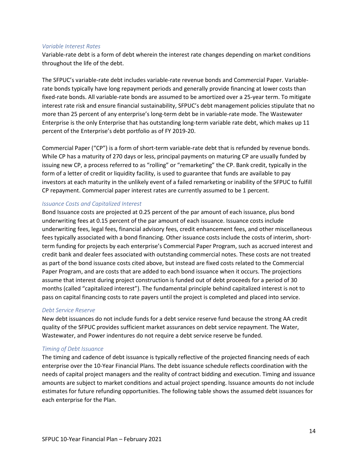#### *Variable Interest Rates*

Variable-rate debt is a form of debt wherein the interest rate changes depending on market conditions throughout the life of the debt.

The SFPUC's variable-rate debt includes variable-rate revenue bonds and Commercial Paper. Variablerate bonds typically have long repayment periods and generally provide financing at lower costs than fixed-rate bonds. All variable-rate bonds are assumed to be amortized over a 25-year term. To mitigate interest rate risk and ensure financial sustainability, SFPUC's debt management policies stipulate that no more than 25 percent of any enterprise's long-term debt be in variable-rate mode. The Wastewater Enterprise is the only Enterprise that has outstanding long-term variable rate debt, which makes up 11 percent of the Enterprise's debt portfolio as of FY 2019-20.

Commercial Paper ("CP") is a form of short-term variable-rate debt that is refunded by revenue bonds. While CP has a maturity of 270 days or less, principal payments on maturing CP are usually funded by issuing new CP, a process referred to as "rolling" or "remarketing" the CP. Bank credit, typically in the form of a letter of credit or liquidity facility, is used to guarantee that funds are available to pay investors at each maturity in the unlikely event of a failed remarketing or inability of the SFPUC to fulfill CP repayment. Commercial paper interest rates are currently assumed to be 1 percent.

#### *Issuance Costs and Capitalized Interest*

Bond Issuance costs are projected at 0.25 percent of the par amount of each issuance, plus bond underwriting fees at 0.15 percent of the par amount of each issuance. Issuance costs include underwriting fees, legal fees, financial advisory fees, credit enhancement fees, and other miscellaneous fees typically associated with a bond financing. Other issuance costs include the costs of interim, shortterm funding for projects by each enterprise's Commercial Paper Program, such as accrued interest and credit bank and dealer fees associated with outstanding commercial notes. These costs are not treated as part of the bond issuance costs cited above, but instead are fixed costs related to the Commercial Paper Program, and are costs that are added to each bond issuance when it occurs. The projections assume that interest during project construction is funded out of debt proceeds for a period of 30 months (called "capitalized interest"). The fundamental principle behind capitalized interest is not to pass on capital financing costs to rate payers until the project is completed and placed into service.

#### *Debt Service Reserve*

New debt issuances do not include funds for a debt service reserve fund because the strong AA credit quality of the SFPUC provides sufficient market assurances on debt service repayment. The Water, Wastewater, and Power indentures do not require a debt service reserve be funded.

#### *Timing of Debt Issuance*

The timing and cadence of debt issuance is typically reflective of the projected financing needs of each enterprise over the 10-Year Financial Plans. The debt issuance schedule reflects coordination with the needs of capital project managers and the reality of contract bidding and execution. Timing and issuance amounts are subject to market conditions and actual project spending. Issuance amounts do not include estimates for future refunding opportunities. The following table shows the assumed debt issuances for each enterprise for the Plan.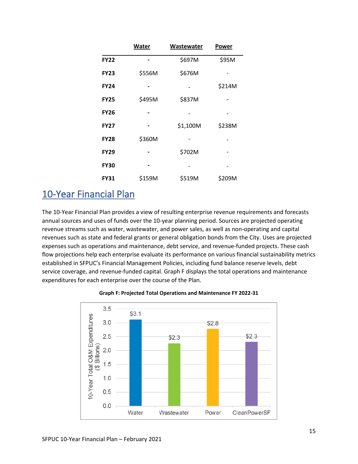|             | <b>Water</b> | Wastewater | <b>Power</b> |
|-------------|--------------|------------|--------------|
| <b>FY22</b> |              | \$697M     | \$95M        |
| <b>FY23</b> | \$556M       | \$676M     |              |
| <b>FY24</b> |              |            | \$214M       |
| <b>FY25</b> | \$495M       | \$837M     |              |
| <b>FY26</b> |              |            |              |
| <b>FY27</b> |              | \$1,100M   | \$238M       |
| <b>FY28</b> | \$360M       |            |              |
| <b>FY29</b> |              | \$702M     |              |
| <b>FY30</b> |              |            |              |
| <b>FY31</b> | \$159M       | \$519M     | \$209M       |

# <span id="page-15-0"></span>10-Year Financial Plan

The 10-Year Financial Plan provides a view of resulting enterprise revenue requirements and forecasts annual sources and uses of funds over the 10-year planning period. Sources are projected operating revenue streams such as water, wastewater, and power sales, as well as non-operating and capital revenues such as state and federal grants or general obligation bonds from the City. Uses are projected expenses such as operations and maintenance, debt service, and revenue-funded projects. These cash flow projections help each enterprise evaluate its performance on various financial sustainability metrics established in SFPUC's Financial Management Policies, including fund balance reserve levels, debt service coverage, and revenue-funded capital. Graph F displays the total operations and maintenance expenditures for each enterprise over the course of the Plan.



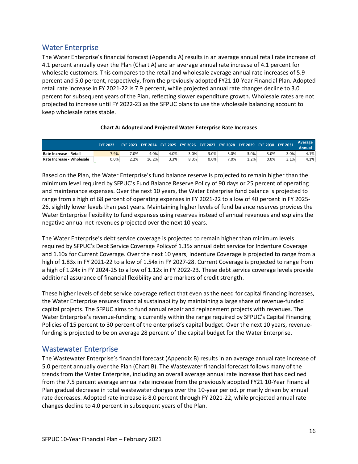## Water Enterprise

The Water Enterprise's financial forecast (Appendix A) results in an average annual retail rate increase of 4.1 percent annually over the Plan (Chart A) and an average annual rate increase of 4.1 percent for wholesale customers. This compares to the retail and wholesale average annual rate increases of 5.9 percent and 5.0 percent, respectively, from the previously adopted FY21 10-Year Financial Plan. Adopted retail rate increase in FY 2021-22 is 7.9 percent, while projected annual rate changes decline to 3.0 percent for subsequent years of the Plan, reflecting slower expenditure growth. Wholesale rates are not projected to increase until FY 2022-23 as the SFPUC plans to use the wholesale balancing account to keep wholesale rates stable.

|                           | <b>FYE 2022</b> |      | $\overline{\phantom{1}}$ FYE 2023 $\overline{\phantom{1}}$ FYE 2025 $\overline{\phantom{1}}$ FYE 2026 $\overline{\phantom{1}}$ FYE 2028 $\overline{\phantom{1}}$ FYE 2030 $\overline{\phantom{1}}$ FYE 2031 $^\prime$ |      |      |         |         |        |      |      | Average |
|---------------------------|-----------------|------|-----------------------------------------------------------------------------------------------------------------------------------------------------------------------------------------------------------------------|------|------|---------|---------|--------|------|------|---------|
|                           |                 |      |                                                                                                                                                                                                                       |      |      |         |         |        |      |      | Annual  |
| Rate Increase - Retail    | 7.9%            | 7.0% | 4.0%                                                                                                                                                                                                                  | 4.0% | 3.0% | 3.0%    | 3.0%    | 3.0%   | 3.0% | 3.0% | 4.1%    |
| Rate Increase - Wholesale | $0.0\%$         | 2.2% | 16.2%                                                                                                                                                                                                                 | 3.3% | 8.3% | $0.0\%$ | $7.0\%$ | $.2\%$ | 0.0% | 3.1% | 4.1%    |

#### **Chart A: Adopted and Projected Water Enterprise Rate Increases**

Based on the Plan, the Water Enterprise's fund balance reserve is projected to remain higher than the minimum level required by SFPUC's Fund Balance Reserve Policy of 90 days or 25 percent of operating and maintenance expenses. Over the next 10 years, the Water Enterprise fund balance is projected to range from a high of 68 percent of operating expenses in FY 2021-22 to a low of 40 percent in FY 2025- 26, slightly lower levels than past years. Maintaining higher levels of fund balance reserves provides the Water Enterprise flexibility to fund expenses using reserves instead of annual revenues and explains the negative annual net revenues projected over the next 10 years.

The Water Enterprise's debt service coverage is projected to remain higher than minimum levels required by SFPUC's Debt Service Coverage Policyof 1.35x annual debt service for Indenture Coverage and 1.10x for Current Coverage. Over the next 10 years, Indenture Coverage is projected to range from a high of 1.83x in FY 2021-22 to a low of 1.54x in FY 2027-28. Current Coverage is projected to range from a high of 1.24x in FY 2024-25 to a low of 1.12x in FY 2022-23. These debt service coverage levels provide additional assurance of financial flexibility and are markers of credit strength.

These higher levels of debt service coverage reflect that even as the need for capital financing increases, the Water Enterprise ensures financial sustainability by maintaining a large share of revenue-funded capital projects. The SFPUC aims to fund annual repair and replacement projects with revenues. The Water Enterprise's revenue-funding is currently within the range required by SFPUC's Capital Financing Policies of 15 percent to 30 percent of the enterprise's capital budget. Over the next 10 years, revenuefunding is projected to be on average 28 percent of the capital budget for the Water Enterprise.

## Wastewater Enterprise

The Wastewater Enterprise's financial forecast (Appendix B) results in an average annual rate increase of 5.0 percent annually over the Plan (Chart B). The Wastewater financial forecast follows many of the trends from the Water Enterprise, including an overall average annual rate increase that has declined from the 7.5 percent average annual rate increase from the previously adopted FY21 10-Year Financial Plan gradual decrease in total wastewater charges over the 10-year period, primarily driven by annual rate decreases. Adopted rate increase is 8.0 percent through FY 2021-22, while projected annual rate changes decline to 4.0 percent in subsequent years of the Plan.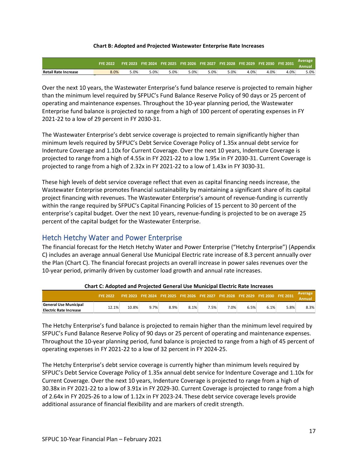#### **Chart B: Adopted and Projected Wastewater Enterprise Rate Increases**

|                             | <b>FYF 2022</b> |      |     | FYE 2023 FYE 2024 FYE 2025 FYE 2026 FYE 2027 FYE 2028 FYE 2029 FYE 2030 FYE 2031 |         |     |      |      |      |      | Average |
|-----------------------------|-----------------|------|-----|----------------------------------------------------------------------------------|---------|-----|------|------|------|------|---------|
| <b>Retail Rate Increase</b> | 8.0%            | 5.0% | .0% | $.0\%$                                                                           | $5.0\%$ | .0% | 5.0% | 4.0% | 4.0% | 4.0% | $5.0\%$ |

Over the next 10 years, the Wastewater Enterprise's fund balance reserve is projected to remain higher than the minimum level required by SFPUC's Fund Balance Reserve Policy of 90 days or 25 percent of operating and maintenance expenses. Throughout the 10-year planning period, the Wastewater Enterprise fund balance is projected to range from a high of 100 percent of operating expenses in FY 2021-22 to a low of 29 percent in FY 2030-31.

The Wastewater Enterprise's debt service coverage is projected to remain significantly higher than minimum levels required by SFPUC's Debt Service Coverage Policy of 1.35x annual debt service for Indenture Coverage and 1.10x for Current Coverage. Over the next 10 years, Indenture Coverage is projected to range from a high of 4.55x in FY 2021-22 to a low 1.95x in FY 2030-31. Current Coverage is projected to range from a high of 2.32x in FY 2021-22 to a low of 1.43x in FY 3030-31.

These high levels of debt service coverage reflect that even as capital financing needs increase, the Wastewater Enterprise promotes financial sustainability by maintaining a significant share of its capital project financing with revenues. The Wastewater Enterprise's amount of revenue-funding is currently within the range required by SFPUC's Capital Financing Policies of 15 percent to 30 percent of the enterprise's capital budget. Over the next 10 years, revenue-funding is projected to be on average 25 percent of the capital budget for the Wastewater Enterprise.

Hetch Hetchy Water and Power Enterprise

The financial forecast for the Hetch Hetchy Water and Power Enterprise ("Hetchy Enterprise") (Appendix C) includes an average annual General Use Municipal Electric rate increase of 8.3 percent annually over the Plan (Chart C). The financial forecast projects an overall increase in power sales revenues over the 10-year period, primarily driven by customer load growth and annual rate increases.

|                                                 | <b>FYF 2022</b>    |       |      |      |         | FYE 2023 FYE 2024 FYE 2025 FYE 2026 FYE 2027 FYE 2028 FYE 2029 FYE 2030 FYE 2031 |         |      |      |      | Average<br>Annual |
|-------------------------------------------------|--------------------|-------|------|------|---------|----------------------------------------------------------------------------------|---------|------|------|------|-------------------|
| General Use Municipal<br>Electric Rate Increase | L <sub>2.1</sub> % | 10.8% | 9.7% | 8.9% | $8.1\%$ | 7.5%                                                                             | $7.0\%$ | 6.5% | 6.1% | 5.8% | 8.3%              |

The Hetchy Enterprise's fund balance is projected to remain higher than the minimum level required by SFPUC's Fund Balance Reserve Policy of 90 days or 25 percent of operating and maintenance expenses. Throughout the 10-year planning period, fund balance is projected to range from a high of 45 percent of operating expenses in FY 2021-22 to a low of 32 percent in FY 2024-25.

The Hetchy Enterprise's debt service coverage is currently higher than minimum levels required by SFPUC's Debt Service Coverage Policy of 1.35x annual debt service for Indenture Coverage and 1.10x for Current Coverage. Over the next 10 years, Indenture Coverage is projected to range from a high of 30.38x in FY 2021-22 to a low of 3.91x in FY 2029-30. Current Coverage is projected to range from a high of 2.64x in FY 2025-26 to a low of 1.12x in FY 2023-24. These debt service coverage levels provide additional assurance of financial flexibility and are markers of credit strength.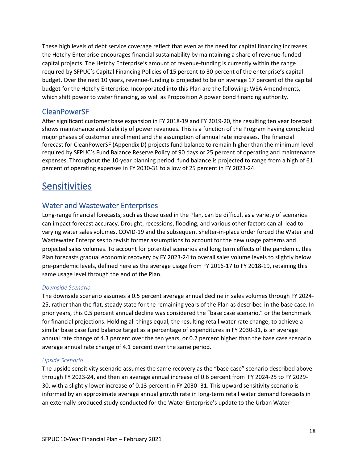These high levels of debt service coverage reflect that even as the need for capital financing increases, the Hetchy Enterprise encourages financial sustainability by maintaining a share of revenue-funded capital projects. The Hetchy Enterprise's amount of revenue-funding is currently within the range required by SFPUC's Capital Financing Policies of 15 percent to 30 percent of the enterprise's capital budget. Over the next 10 years, revenue-funding is projected to be on average 17 percent of the capital budget for the Hetchy Enterprise. Incorporated into this Plan are the following: WSA Amendments, which shift power to water financing**,** as well as Proposition A power bond financing authority.

## CleanPowerSF

After significant customer base expansion in FY 2018-19 and FY 2019-20, the resulting ten year forecast shows maintenance and stability of power revenues. This is a function of the Program having completed major phases of customer enrollment and the assumption of annual rate increases. The financial forecast for CleanPowerSF (Appendix D) projects fund balance to remain higher than the minimum level required by SFPUC's Fund Balance Reserve Policy of 90 days or 25 percent of operating and maintenance expenses. Throughout the 10-year planning period, fund balance is projected to range from a high of 61 percent of operating expenses in FY 2030-31 to a low of 25 percent in FY 2023-24.

# <span id="page-18-0"></span>**Sensitivities**

## Water and Wastewater Enterprises

Long-range financial forecasts, such as those used in the Plan, can be difficult as a variety of scenarios can impact forecast accuracy. Drought, recessions, flooding, and various other factors can all lead to varying water sales volumes. COVID-19 and the subsequent shelter-in-place order forced the Water and Wastewater Enterprises to revisit former assumptions to account for the new usage patterns and projected sales volumes. To account for potential scenarios and long term effects of the pandemic, this Plan forecasts gradual economic recovery by FY 2023-24 to overall sales volume levels to slightly below pre-pandemic levels, defined here as the average usage from FY 2016-17 to FY 2018-19, retaining this same usage level through the end of the Plan.

#### *Downside Scenario*

The downside scenario assumes a 0.5 percent average annual decline in sales volumes through FY 2024- 25, rather than the flat, steady state for the remaining years of the Plan as described in the base case. In prior years, this 0.5 percent annual decline was considered the "base case scenario," or the benchmark for financial projections. Holding all things equal, the resulting retail water rate change, to achieve a similar base case fund balance target as a percentage of expenditures in FY 2030-31, is an average annual rate change of 4.3 percent over the ten years, or 0.2 percent higher than the base case scenario average annual rate change of 4.1 percent over the same period.

#### *Upside Scenario*

The upside sensitivity scenario assumes the same recovery as the "base case" scenario described above through FY 2023-24, and then an average annual increase of 0.6 percent from FY 2024-25 to FY 2029- 30, with a slightly lower increase of 0.13 percent in FY 2030- 31. This upward sensitivity scenario is informed by an approximate average annual growth rate in long-term retail water demand forecasts in an externally produced study conducted for the Water Enterprise's update to the Urban Water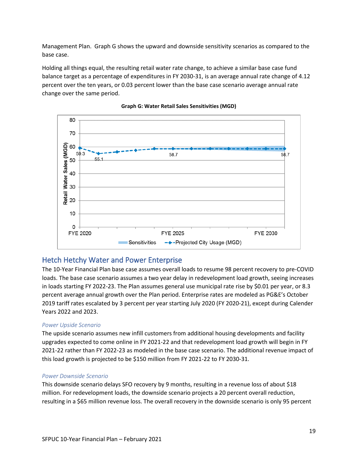Management Plan. Graph G shows the upward and downside sensitivity scenarios as compared to the base case.

Holding all things equal, the resulting retail water rate change, to achieve a similar base case fund balance target as a percentage of expenditures in FY 2030-31, is an average annual rate change of 4.12 percent over the ten years, or 0.03 percent lower than the base case scenario average annual rate change over the same period.





## Hetch Hetchy Water and Power Enterprise

The 10-Year Financial Plan base case assumes overall loads to resume 98 percent recovery to pre-COVID loads. The base case scenario assumes a two year delay in redevelopment load growth, seeing increases in loads starting FY 2022-23. The Plan assumes general use municipal rate rise by \$0.01 per year, or 8.3 percent average annual growth over the Plan period. Enterprise rates are modeled as PG&E's October 2019 tariff rates escalated by 3 percent per year starting July 2020 (FY 2020-21), except during Calender Years 2022 and 2023.

#### *Power Upside Scenario*

The upside scenario assumes new infill customers from additional housing developments and facility upgrades expected to come online in FY 2021-22 and that redevelopment load growth will begin in FY 2021-22 rather than FY 2022-23 as modeled in the base case scenario. The additional revenue impact of this load growth is projected to be \$150 million from FY 2021-22 to FY 2030-31.

#### *Power Downside Scenario*

This downside scenario delays SFO recovery by 9 months, resulting in a revenue loss of about \$18 million. For redevelopment loads, the downside scenario projects a 20 percent overall reduction, resulting in a \$65 million revenue loss. The overall recovery in the downside scenario is only 95 percent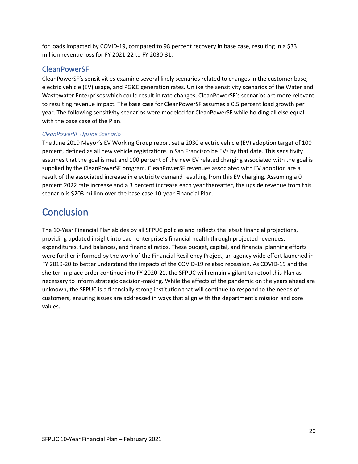for loads impacted by COVID-19, compared to 98 percent recovery in base case, resulting in a \$33 million revenue loss for FY 2021-22 to FY 2030-31.

## CleanPowerSF

CleanPowerSF's sensitivities examine several likely scenarios related to changes in the customer base, electric vehicle (EV) usage, and PG&E generation rates. Unlike the sensitivity scenarios of the Water and Wastewater Enterprises which could result in rate changes, CleanPowerSF's scenarios are more relevant to resulting revenue impact. The base case for CleanPowerSF assumes a 0.5 percent load growth per year. The following sensitivity scenarios were modeled for CleanPowerSF while holding all else equal with the base case of the Plan.

#### *CleanPowerSF Upside Scenario*

The June 2019 Mayor's EV Working Group report set a 2030 electric vehicle (EV) adoption target of 100 percent, defined as all new vehicle registrations in San Francisco be EVs by that date. This sensitivity assumes that the goal is met and 100 percent of the new EV related charging associated with the goal is supplied by the CleanPowerSF program. CleanPowerSF revenues associated with EV adoption are a result of the associated increase in electricity demand resulting from this EV charging. Assuming a 0 percent 2022 rate increase and a 3 percent increase each year thereafter, the upside revenue from this scenario is \$203 million over the base case 10-year Financial Plan.

# <span id="page-20-0"></span>**Conclusion**

The 10-Year Financial Plan abides by all SFPUC policies and reflects the latest financial projections, providing updated insight into each enterprise's financial health through projected revenues, expenditures, fund balances, and financial ratios. These budget, capital, and financial planning efforts were further informed by the work of the Financial Resiliency Project, an agency wide effort launched in FY 2019-20 to better understand the impacts of the COVID-19 related recession. As COVID-19 and the shelter-in-place order continue into FY 2020-21, the SFPUC will remain vigilant to retool this Plan as necessary to inform strategic decision-making. While the effects of the pandemic on the years ahead are unknown, the SFPUC is a financially strong institution that will continue to respond to the needs of customers, ensuring issues are addressed in ways that align with the department's mission and core values.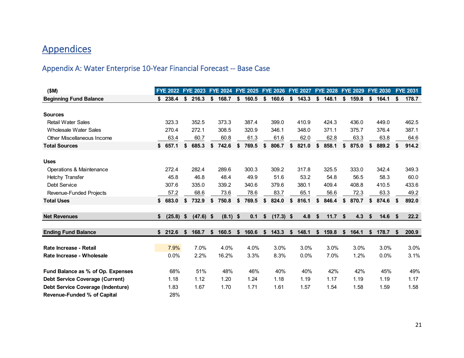# **Appendices**

# Appendix A: Water Enterprise 10-Year Financial Forecast -- Base Case

<span id="page-21-0"></span>

| (SM)                                   | <b>FYE 2022</b> |     | <b>FYE 2023</b> |    | FYE 2024 FYE 2025 FYE 2026 |             |                   | <b>FYE 2027</b> |    | FYE 2028 FYE 2029 |             |    | <b>FYE 2030</b> |    | <b>FYE 2031</b> |
|----------------------------------------|-----------------|-----|-----------------|----|----------------------------|-------------|-------------------|-----------------|----|-------------------|-------------|----|-----------------|----|-----------------|
| <b>Beginning Fund Balance</b>          | \$<br>238.4     | \$  | 216.3           | \$ | 168.7                      | \$<br>160.5 | \$<br>160.6       | \$<br>143.3     | \$ | 148.1             | \$<br>159.8 | \$ | 164.1           | \$ | 178.7           |
|                                        |                 |     |                 |    |                            |             |                   |                 |    |                   |             |    |                 |    |                 |
| <b>Sources</b>                         |                 |     |                 |    |                            |             |                   |                 |    |                   |             |    |                 |    |                 |
| Retail Water Sales                     | 323.3           |     | 352.5           |    | 373.3                      | 387.4       | 399.0             | 410.9           |    | 424.3             | 436.0       |    | 449.0           |    | 462.5           |
| Wholesale Water Sales                  | 270.4           |     | 272.1           |    | 308.5                      | 320.9       | 346.1             | 348.0           |    | 371.1             | 375.7       |    | 376.4           |    | 387.1           |
| Other Miscellaneous Income             | 63.4            |     | 60.7            |    | 60.8                       | 61.3        | 61.6              | 62.0            |    | 62.8              | 63.3        |    | 63.8            |    | 64.6            |
| <b>Total Sources</b>                   | \$657.1         | \$  | 685.3           | \$ | 742.6                      | \$<br>769.5 | \$<br>806.7       | \$<br>821.0     | \$ | 858.1             | \$<br>875.0 | S  | 889.2           |    | 914.2           |
|                                        |                 |     |                 |    |                            |             |                   |                 |    |                   |             |    |                 |    |                 |
| <b>Uses</b>                            |                 |     |                 |    |                            |             |                   |                 |    |                   |             |    |                 |    |                 |
| Operations & Maintenance               | 272.4           |     | 282.4           |    | 289.6                      | 300.3       | 309.2             | 317.8           |    | 325.5             | 333.0       |    | 342.4           |    | 349.3           |
| <b>Hetchy Transfer</b>                 | 45.8            |     | 46.8            |    | 48.4                       | 49.9        | 51.6              | 53.2            |    | 54.8              | 56.5        |    | 58.3            |    | 60.0            |
| Debt Service                           | 307.6           |     | 335.0           |    | 339.2                      | 340.6       | 379.6             | 380.1           |    | 409.4             | 408.8       |    | 410.5           |    | 433.6           |
| Revenue-Funded Projects                | 57.2            |     | 68.6            |    | 73.6                       | 78.6        | 83.7              | 65.1            |    | 56.6              | 72.3        |    | 63.3            |    | 49.2            |
| <b>Total Uses</b>                      | \$<br>683.0     | \$  | 732.9           | \$ | 750.8                      | \$<br>769.5 | \$<br>824.0       | \$<br>816.1     |    | 846.4             | \$<br>870.7 | \$ | 874.6           | S. | 892.0           |
|                                        |                 |     |                 |    |                            |             |                   |                 |    |                   |             |    |                 |    |                 |
| <b>Net Revenues</b>                    | \$<br>(25.8)    | \$  | $(47.6)$ \$     |    | $(8.1)$ \$                 | 0.1         | \$<br>$(17.3)$ \$ | 4.8             | \$ | 11.7              | \$<br>4.3   | \$ | 14.6            | S  | 22.2            |
| <b>Ending Fund Balance</b>             | \$212.6         | \$. | 168.7           | Ŝ. | 160.5                      | \$<br>160.6 | \$<br>143.3       | \$<br>148.1     | S. | 159.8             | \$<br>164.1 | \$ | 178.7           |    | 200.9           |
|                                        |                 |     |                 |    |                            |             |                   |                 |    |                   |             |    |                 |    |                 |
| Rate Increase - Retail                 | 7.9%            |     | 7.0%            |    | 4.0%                       | 4.0%        | 3.0%              | 3.0%            |    | 3.0%              | 3.0%        |    | 3.0%            |    | 3.0%            |
| Rate Increase - Wholesale              | 0.0%            |     | 2.2%            |    | 16.2%                      | 3.3%        | 8.3%              | 0.0%            |    | 7.0%              | 1.2%        |    | 0.0%            |    | 3.1%            |
| Fund Balance as % of Op. Expenses      | 68%             |     | 51%             |    | 48%                        | 46%         | 40%               | 40%             |    | 42%               | 42%         |    | 45%             |    | 49%             |
| <b>Debt Service Coverage (Current)</b> | 1.18            |     | 1.12            |    | 1.20                       | 1.24        | 1.18              | 1.19            |    | 1.17              | 1.19        |    | 1.19            |    | 1.17            |
| Debt Service Coverage (Indenture)      | 1.83            |     | 1.67            |    | 1.70                       | 1.71        | 1.61              | 1.57            |    | 1.54              | 1.58        |    | 1.59            |    | 1.58            |
| <b>Revenue-Funded % of Capital</b>     | 28%             |     |                 |    |                            |             |                   |                 |    |                   |             |    |                 |    |                 |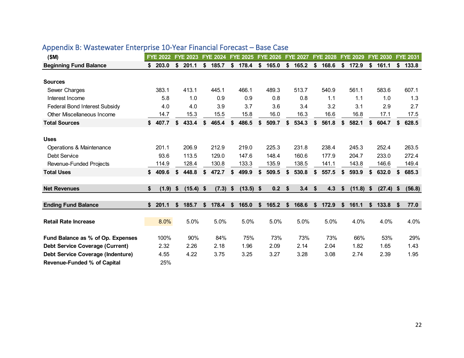| (SM)                                   | <b>FYE 2022</b> | <b>FYE 2023</b>   |    | <b>FYE 2024</b> |               | <b>FYE 2025</b> | <b>FYE 2026</b> | <b>FYE 2027</b> |               | <b>FYE 2028</b> | <b>FYE 2029</b>   | <b>FYE 2030</b> |    | <b>FYE 2031</b> |
|----------------------------------------|-----------------|-------------------|----|-----------------|---------------|-----------------|-----------------|-----------------|---------------|-----------------|-------------------|-----------------|----|-----------------|
| <b>Beginning Fund Balance</b>          | \$<br>203.0     | \$<br>201.1       | \$ | 185.7           | \$            | 178.4           | \$<br>165.0     | \$<br>165.2     | \$            | 168.6           | \$<br>172.9       | \$<br>161.1     | \$ | 133.8           |
|                                        |                 |                   |    |                 |               |                 |                 |                 |               |                 |                   |                 |    |                 |
| <b>Sources</b>                         |                 |                   |    |                 |               |                 |                 |                 |               |                 |                   |                 |    |                 |
| Sewer Charges                          | 383.1           | 413.1             |    | 445.1           |               | 466.1           | 489.3           | 513.7           |               | 540.9           | 561.1             | 583.6           |    | 607.1           |
| Interest Income                        | 5.8             | 1.0               |    | 0.9             |               | 0.9             | 0.8             | 0.8             |               | 1.1             | 1.1               | 1.0             |    | 1.3             |
| Federal Bond Interest Subsidy          | 4.0             | 4.0               |    | 3.9             |               | 3.7             | 3.6             | 3.4             |               | 3.2             | 3.1               | 2.9             |    | 2.7             |
| Other Miscellaneous Income             | 14.7            | 15.3              |    | 15.5            |               | 15.8            | 16.0            | 16.3            |               | 16.6            | 16.8              | 17.1            |    | 17.5            |
| <b>Total Sources</b>                   | \$407.7         | \$<br>433.4       | \$ | 465.4           | \$            | 486.5           | \$<br>509.7     | \$<br>534.3     | \$            | 561.8           | \$<br>582.1       | \$<br>604.7     | \$ | 628.5           |
|                                        |                 |                   |    |                 |               |                 |                 |                 |               |                 |                   |                 |    |                 |
| <b>Uses</b>                            |                 |                   |    |                 |               |                 |                 |                 |               |                 |                   |                 |    |                 |
| Operations & Maintenance               | 201.1           | 206.9             |    | 212.9           |               | 219.0           | 225.3           | 231.8           |               | 238.4           | 245.3             | 252.4           |    | 263.5           |
| Debt Service                           | 93.6            | 113.5             |    | 129.0           |               | 147.6           | 148.4           | 160.6           |               | 177.9           | 204.7             | 233.0           |    | 272.4           |
| Revenue-Funded Projects                | 114.9           | 128.4             |    | 130.8           |               | 133.3           | 135.9           | 138.5           |               | 141.1           | 143.8             | 146.6           |    | 149.4           |
| <b>Total Uses</b>                      | \$<br>409.6     | \$<br>448.8       | \$ | 472.7           | \$            | 499.9           | \$<br>509.5     | \$<br>530.8     | S             | 557.5           | \$<br>593.9       | \$<br>632.0     | S  | 685.3           |
|                                        |                 |                   |    |                 |               |                 |                 |                 |               |                 |                   |                 |    |                 |
| <b>Net Revenues</b>                    | \$<br>(1.9)     | \$<br>$(15.4)$ \$ |    | (7.3)           | $\frac{1}{2}$ | $(13.5)$ \$     | 0.2             | \$<br>3.4       | $\sqrt[6]{2}$ | 4.3             | \$<br>$(11.8)$ \$ | (27.4)          | \$ | (56.8)          |
|                                        |                 |                   |    |                 |               |                 |                 |                 |               |                 |                   |                 |    |                 |
| <b>Ending Fund Balance</b>             | \$<br>201.1     | \$<br>185.7       | S  | 178.4           | \$            | 165.0           | \$<br>165.2     | \$<br>168.6     | S             | 172.9           | \$<br>161.1       | \$<br>133.8     | S  | 77.0            |
|                                        |                 |                   |    |                 |               |                 |                 |                 |               |                 |                   |                 |    |                 |
| <b>Retail Rate Increase</b>            | 8.0%            | 5.0%              |    | 5.0%            |               | 5.0%            | 5.0%            | 5.0%            |               | 5.0%            | 4.0%              | 4.0%            |    | 4.0%            |
|                                        |                 |                   |    |                 |               |                 |                 |                 |               |                 |                   |                 |    |                 |
| Fund Balance as % of Op. Expenses      | 100%            | 90%               |    | 84%             |               | 75%             | 73%             | 73%             |               | 73%             | 66%               | 53%             |    | 29%             |
| <b>Debt Service Coverage (Current)</b> | 2.32            | 2.26              |    | 2.18            |               | 1.96            | 2.09            | 2.14            |               | 2.04            | 1.82              | 1.65            |    | 1.43            |
| Debt Service Coverage (Indenture)      | 4.55            | 4.22              |    | 3.75            |               | 3.25            | 3.27            | 3.28            |               | 3.08            | 2.74              | 2.39            |    | 1.95            |
| <b>Revenue-Funded % of Capital</b>     | 25%             |                   |    |                 |               |                 |                 |                 |               |                 |                   |                 |    |                 |

# Appendix B: Wastewater Enterprise 10-Year Financial Forecast – Base Case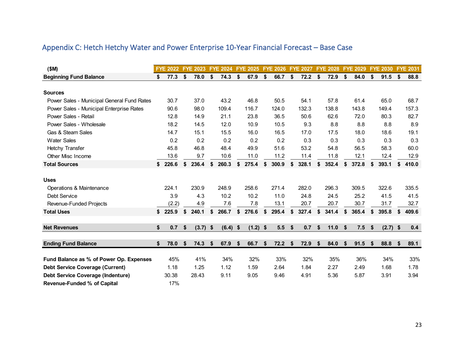| (SM)                                       | <b>FYE 2022</b> | <b>FYE 2023</b> | <b>FYE 2024</b>  | <b>FYE 2025</b> | <b>FYE 2026</b> | <b>FYE 2027</b> | <b>FYE 2028</b> |    | <b>FYE 2029</b> | <b>FYE 2030</b>  |    | <b>FYE 2031</b> |
|--------------------------------------------|-----------------|-----------------|------------------|-----------------|-----------------|-----------------|-----------------|----|-----------------|------------------|----|-----------------|
| <b>Beginning Fund Balance</b>              | \$<br>77.3      | \$<br>78.0      | \$<br>74.3       | \$<br>67.9      | \$<br>66.7      | \$<br>72.2      | \$<br>72.9      | \$ | 84.0            | \$<br>91.5       | \$ | 88.8            |
|                                            |                 |                 |                  |                 |                 |                 |                 |    |                 |                  |    |                 |
| <b>Sources</b>                             |                 |                 |                  |                 |                 |                 |                 |    |                 |                  |    |                 |
| Power Sales - Municipal General Fund Rates | 30.7            | 37.0            | 43.2             | 46.8            | 50.5            | 54.1            | 57.8            |    | 61.4            | 65.0             |    | 68.7            |
| Power Sales - Municipal Enterprise Rates   | 90.6            | 98.0            | 109.4            | 116.7           | 124.0           | 132.3           | 138.8           |    | 143.8           | 149.4            |    | 157.3           |
| Power Sales - Retail                       | 12.8            | 14.9            | 21.1             | 23.8            | 36.5            | 50.6            | 62.6            |    | 72.0            | 80.3             |    | 82.7            |
| Power Sales - Wholesale                    | 18.2            | 14.5            | 12.0             | 10.9            | 10.5            | 9.3             | 8.8             |    | 8.8             | 8.8              |    | 8.9             |
| Gas & Steam Sales                          | 14.7            | 15.1            | 15.5             | 16.0            | 16.5            | 17.0            | 17.5            |    | 18.0            | 18.6             |    | 19.1            |
| <b>Water Sales</b>                         | 0.2             | 0.2             | 0.2              | 0.2             | 0.2             | 0.3             | 0.3             |    | 0.3             | 0.3              |    | 0.3             |
| Hetchy Transfer                            | 45.8            | 46.8            | 48.4             | 49.9            | 51.6            | 53.2            | 54.8            |    | 56.5            | 58.3             |    | 60.0            |
| Other Misc Income                          | 13.6            | 9.7             | 10.6             | 11.0            | 11.2            | 11.4            | 11.8            |    | 12.1            | 12.4             |    | 12.9            |
| <b>Total Sources</b>                       | \$226.6         | \$<br>236.4     | \$<br>260.3      | \$<br>275.4     | \$<br>300.9     | \$<br>328.1     | \$<br>352.4     | \$ | 372.8           | \$<br>393.1      | S  | 410.0           |
| <b>Uses</b>                                |                 |                 |                  |                 |                 |                 |                 |    |                 |                  |    |                 |
| Operations & Maintenance                   | 224.1           | 230.9           | 248.9            | 258.6           | 271.4           | 282.0           | 296.3           |    | 309.5           | 322.6            |    | 335.5           |
| Debt Service                               | 3.9             | 4.3             | 10.2             | 10.2            | 11.0            | 24.8            | 24.5            |    | 25.2            | 41.5             |    | 41.5            |
| Revenue-Funded Projects                    | (2.2)           | 4.9             | 7.6              | 7.8             | 13.1            | 20.7            | 20.7            |    | 30.7            | 31.7             |    | 32.7            |
| <b>Total Uses</b>                          | \$225.9         | \$<br>240.1     | \$<br>266.7      | \$<br>276.6     | \$<br>295.4     | \$<br>327.4     | \$<br>341.4     | \$ | 365.4           | \$<br>395.8      | S  | 409.6           |
| <b>Net Revenues</b>                        | \$<br>0.7       | \$<br>(3.7)     | \$<br>$(6.4)$ \$ | $(1.2)$ \$      | 5.5             | \$<br>0.7       | \$<br>11.0      | -S | 7.5             | \$<br>$(2.7)$ \$ |    | 0.4             |
|                                            |                 |                 |                  |                 |                 |                 |                 |    |                 |                  |    |                 |
| <b>Ending Fund Balance</b>                 | \$<br>78.0      | \$<br>74.3      | \$<br>67.9       | \$<br>66.7      | \$<br>72.2      | \$<br>72.9      | \$<br>84.0      | \$ | 91.5            | \$<br>88.8       | \$ | 89.1            |
| Fund Balance as % of Power Op. Expenses    | 45%             | 41%             | 34%              | 32%             | 33%             | 32%             | 35%             |    | 36%             | 34%              |    | 33%             |
| <b>Debt Service Coverage (Current)</b>     | 1.18            | 1.25            | 1.12             | 1.59            | 2.64            | 1.84            | 2.27            |    | 2.49            | 1.68             |    | 1.78            |
| <b>Debt Service Coverage (Indenture)</b>   | 30.38           | 28.43           | 9.11             | 9.05            | 9.46            | 4.91            | 5.36            |    | 5.87            | 3.91             |    | 3.94            |
| <b>Revenue-Funded % of Capital</b>         | 17%             |                 |                  |                 |                 |                 |                 |    |                 |                  |    |                 |

# Appendix C: Hetch Hetchy Water and Power Enterprise 10-Year Financial Forecast – Base Case